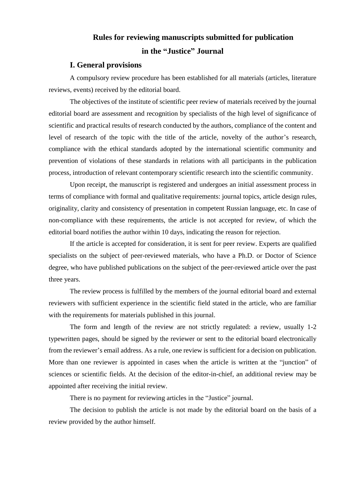# **Rules for reviewing manuscripts submitted for publication in the "Justice" Journal**

### **I. General provisions**

A compulsory review procedure has been established for all materials (articles, literature reviews, events) received by the editorial board.

The objectives of the institute of scientific peer review of materials received by the journal editorial board are assessment and recognition by specialists of the high level of significance of scientific and practical results of research conducted by the authors, compliance of the content and level of research of the topic with the title of the article, novelty of the author's research, compliance with the ethical standards adopted by the international scientific community and prevention of violations of these standards in relations with all participants in the publication process, introduction of relevant contemporary scientific research into the scientific community.

Upon receipt, the manuscript is registered and undergoes an initial assessment process in terms of compliance with formal and qualitative requirements: journal topics, article design rules, originality, clarity and consistency of presentation in competent Russian language, etc. In case of non-compliance with these requirements, the article is not accepted for review, of which the editorial board notifies the author within 10 days, indicating the reason for rejection.

If the article is accepted for consideration, it is sent for peer review. Experts are qualified specialists on the subject of peer-reviewed materials, who have a Ph.D. or Doctor of Science degree, who have published publications on the subject of the peer-reviewed article over the past three years.

The review process is fulfilled by the members of the journal editorial board and external reviewers with sufficient experience in the scientific field stated in the article, who are familiar with the requirements for materials published in this journal.

The form and length of the review are not strictly regulated: a review, usually 1-2 typewritten pages, should be signed by the reviewer or sent to the editorial board electronically from the reviewer's email address. As a rule, one review is sufficient for a decision on publication. More than one reviewer is appointed in cases when the article is written at the "junction" of sciences or scientific fields. At the decision of the editor-in-chief, an additional review may be appointed after receiving the initial review.

There is no payment for reviewing articles in the "Justice" journal.

The decision to publish the article is not made by the editorial board on the basis of a review provided by the author himself.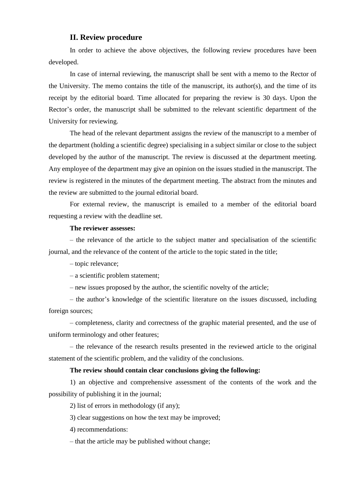## **II. Review procedure**

In order to achieve the above objectives, the following review procedures have been developed.

In case of internal reviewing, the manuscript shall be sent with a memo to the Rector of the University. The memo contains the title of the manuscript, its author(s), and the time of its receipt by the editorial board. Time allocated for preparing the review is 30 days. Upon the Rector's order, the manuscript shall be submitted to the relevant scientific department of the University for reviewing.

The head of the relevant department assigns the review of the manuscript to a member of the department (holding a scientific degree) specialising in a subject similar or close to the subject developed by the author of the manuscript. The review is discussed at the department meeting. Any employee of the department may give an opinion on the issues studied in the manuscript. The review is registered in the minutes of the department meeting. The abstract from the minutes and the review are submitted to the journal editorial board.

For external review, the manuscript is emailed to a member of the editorial board requesting a review with the deadline set.

#### **The reviewer assesses:**

– the relevance of the article to the subject matter and specialisation of the scientific journal, and the relevance of the content of the article to the topic stated in the title;

– topic relevance;

– a scientific problem statement;

– new issues proposed by the author, the scientific novelty of the article;

– the author's knowledge of the scientific literature on the issues discussed, including foreign sources;

– completeness, clarity and correctness of the graphic material presented, and the use of uniform terminology and other features;

– the relevance of the research results presented in the reviewed article to the original statement of the scientific problem, and the validity of the conclusions.

#### **The review should contain clear conclusions giving the following:**

1) an objective and comprehensive assessment of the contents of the work and the possibility of publishing it in the journal;

2) list of errors in methodology (if any);

3) clear suggestions on how the text may be improved;

4) recommendations:

– that the article may be published without change;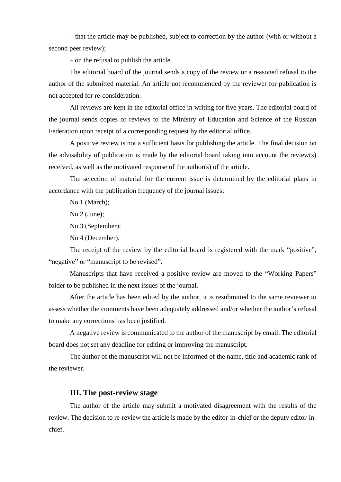– that the article may be published, subject to correction by the author (with or without a second peer review);

– on the refusal to publish the article.

The editorial board of the journal sends a copy of the review or a reasoned refusal to the author of the submitted material. An article not recommended by the reviewer for publication is not accepted for re-consideration.

All reviews are kept in the editorial office in writing for five years. The editorial board of the journal sends copies of reviews to the Ministry of Education and Science of the Russian Federation upon receipt of a corresponding request by the editorial office.

A positive review is not a sufficient basis for publishing the article. The final decision on the advisability of publication is made by the editorial board taking into account the review(s) received, as well as the motivated response of the author(s) of the article.

The selection of material for the current issue is determined by the editorial plans in accordance with the publication frequency of the journal issues:

No 1 (March);

No 2 (June);

No 3 (September);

No 4 (December).

The receipt of the review by the editorial board is registered with the mark "positive", " negative" or "manuscript to be revised".

Manuscripts that have received a positive review are moved to the "Working Papers" folder to be published in the next issues of the journal.

After the article has been edited by the author, it is resubmitted to the same reviewer to assess whether the comments have been adequately addressed and/or whether the author's refusal to make any corrections has been justified.

A negative review is communicated to the author of the manuscript by email. The editorial board does not set any deadline for editing or improving the manuscript.

The author of the manuscript will not be informed of the name, title and academic rank of the reviewer.

## **III. The post-review stage**

The author of the article may submit a motivated disagreement with the results of the review. The decision to re-review the article is made by the editor-in-chief or the deputy editor-inchief.